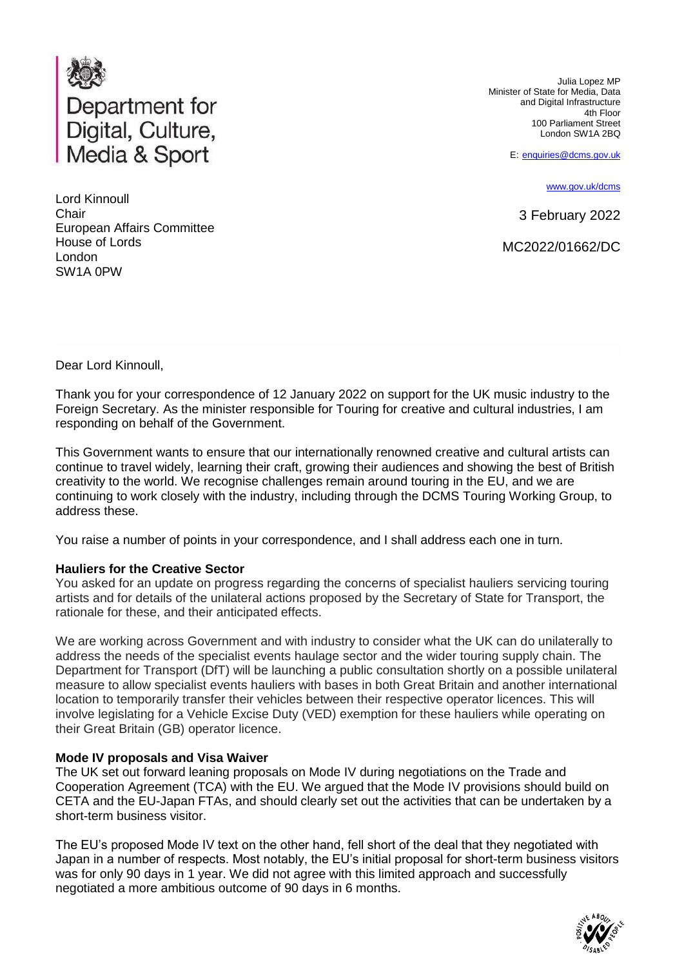

Lord Kinnoull **Chair** European Affairs Committee House of Lords London SW1A 0PW

Julia Lopez MP Minister of State for Media, Data and Digital Infrastructure 4th Floor 100 Parliament Street London SW1A 2BQ

E: [enquiries@dcms.gov.uk](mailto:enquiries@dcms.gov.uk)

[www.gov.uk/dcms](http://www.gov.uk/dcms)

3 February 2022

MC2022/01662/DC

Dear Lord Kinnoull,

Thank you for your correspondence of 12 January 2022 on support for the UK music industry to the Foreign Secretary. As the minister responsible for Touring for creative and cultural industries, I am responding on behalf of the Government.

This Government wants to ensure that our internationally renowned creative and cultural artists can continue to travel widely, learning their craft, growing their audiences and showing the best of British creativity to the world. We recognise challenges remain around touring in the EU, and we are continuing to work closely with the industry, including through the DCMS Touring Working Group, to address these.

You raise a number of points in your correspondence, and I shall address each one in turn.

## **Hauliers for the Creative Sector**

You asked for an update on progress regarding the concerns of specialist hauliers servicing touring artists and for details of the unilateral actions proposed by the Secretary of State for Transport, the rationale for these, and their anticipated effects.

We are working across Government and with industry to consider what the UK can do unilaterally to address the needs of the specialist events haulage sector and the wider touring supply chain. The Department for Transport (DfT) will be launching a public consultation shortly on a possible unilateral measure to allow specialist events hauliers with bases in both Great Britain and another international location to temporarily transfer their vehicles between their respective operator licences. This will involve legislating for a Vehicle Excise Duty (VED) exemption for these hauliers while operating on their Great Britain (GB) operator licence.

## **Mode IV proposals and Visa Waiver**

The UK set out forward leaning proposals on Mode IV during negotiations on the Trade and Cooperation Agreement (TCA) with the EU. We argued that the Mode IV provisions should build on CETA and the EU-Japan FTAs, and should clearly set out the activities that can be undertaken by a short-term business visitor.

The EU's proposed Mode IV text on the other hand, fell short of the deal that they negotiated with Japan in a number of respects. Most notably, the EU's initial proposal for short-term business visitors was for only 90 days in 1 year. We did not agree with this limited approach and successfully negotiated a more ambitious outcome of 90 days in 6 months.

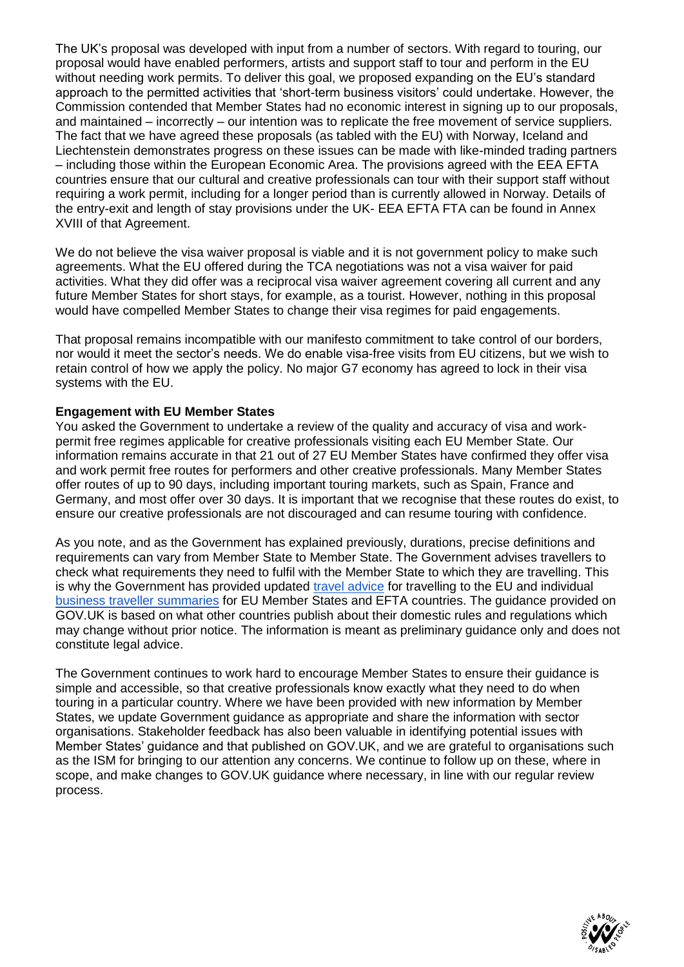The UK's proposal was developed with input from a number of sectors. With regard to touring, our proposal would have enabled performers, artists and support staff to tour and perform in the EU without needing work permits. To deliver this goal, we proposed expanding on the EU's standard approach to the permitted activities that 'short-term business visitors' could undertake. However, the Commission contended that Member States had no economic interest in signing up to our proposals, and maintained – incorrectly – our intention was to replicate the free movement of service suppliers. The fact that we have agreed these proposals (as tabled with the EU) with Norway, Iceland and Liechtenstein demonstrates progress on these issues can be made with like-minded trading partners – including those within the European Economic Area. The provisions agreed with the EEA EFTA countries ensure that our cultural and creative professionals can tour with their support staff without requiring a work permit, including for a longer period than is currently allowed in Norway. Details of the entry-exit and length of stay provisions under the UK- EEA EFTA FTA can be found in Annex XVIII of that Agreement.

We do not believe the visa waiver proposal is viable and it is not government policy to make such agreements. What the EU offered during the TCA negotiations was not a visa waiver for paid activities. What they did offer was a reciprocal visa waiver agreement covering all current and any future Member States for short stays, for example, as a tourist. However, nothing in this proposal would have compelled Member States to change their visa regimes for paid engagements.

That proposal remains incompatible with our manifesto commitment to take control of our borders, nor would it meet the sector's needs. We do enable visa-free visits from EU citizens, but we wish to retain control of how we apply the policy. No major G7 economy has agreed to lock in their visa systems with the EU.

## **Engagement with EU Member States**

You asked the Government to undertake a review of the quality and accuracy of visa and workpermit free regimes applicable for creative professionals visiting each EU Member State. Our information remains accurate in that 21 out of 27 EU Member States have confirmed they offer visa and work permit free routes for performers and other creative professionals. Many Member States offer routes of up to 90 days, including important touring markets, such as Spain, France and Germany, and most offer over 30 days. It is important that we recognise that these routes do exist, to ensure our creative professionals are not discouraged and can resume touring with confidence.

As you note, and as the Government has explained previously, durations, precise definitions and requirements can vary from Member State to Member State. The Government advises travellers to check what requirements they need to fulfil with the Member State to which they are travelling. This is why the Government has provided updated [travel advice](https://www.gov.uk/foreign-travel-advice) for travelling to the EU and individual [business traveller summaries](https://www.gov.uk/government/collections/travelling-to-the-eu-switzerland-norway-iceland-or-liechtenstein-for-work) for EU Member States and EFTA countries. The guidance provided on GOV.UK is based on what other countries publish about their domestic rules and regulations which may change without prior notice. The information is meant as preliminary guidance only and does not constitute legal advice.

The Government continues to work hard to encourage Member States to ensure their guidance is simple and accessible, so that creative professionals know exactly what they need to do when touring in a particular country. Where we have been provided with new information by Member States, we update Government guidance as appropriate and share the information with sector organisations. Stakeholder feedback has also been valuable in identifying potential issues with Member States' guidance and that published on GOV.UK, and we are grateful to organisations such as the ISM for bringing to our attention any concerns. We continue to follow up on these, where in scope, and make changes to GOV.UK guidance where necessary, in line with our regular review process.